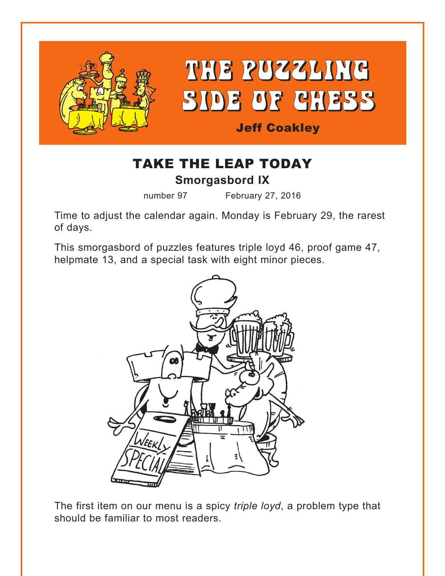

## TAKE THE LEAP TODAY **Smorgasbord IX**

number 97 February 27, 2016

Time to adjust the calendar again. Monday is February 29, the rarest of days.

This smorgasbord of puzzles features triple loyd 46, proof game 47, helpmate 13, and a special task with eight minor pieces.



The first item on our menu is a spicy *triple loyd*, a problem type that should be familiar to most readers.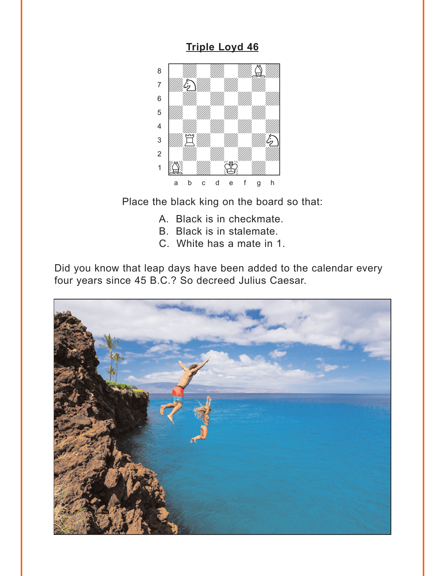### **Triple Loyd 46**

<span id="page-1-0"></span>

Place the black king on the board so that:

- A. Black is in checkmate.
- B. Black is in stalemate.
- C. White has a mate in 1.

Did you know that leap days have been added to the calendar every four years since 45 B.C.? So decreed Julius Caesar.

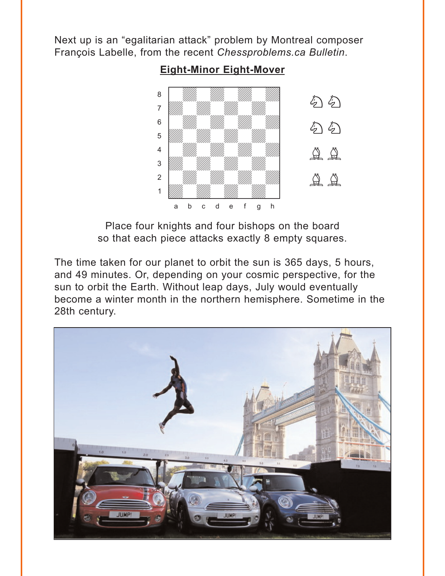<span id="page-2-0"></span>Next up is an "egalitarian attack" problem by Montreal composer François Labelle, from the recent *Chessproblems.ca Bulletin*.

## **[Eight-Minor Eight-Mover](#page-6-0)**



Place four knights and four bishops on the board so that each piece attacks exactly 8 empty squares.

The time taken for our planet to orbit the sun is 365 days, 5 hours, and 49 minutes. Or, depending on your cosmic perspective, for the sun to orbit the Earth. Without leap days, July would eventually become a winter month in the northern hemisphere. Sometime in the 28th century.

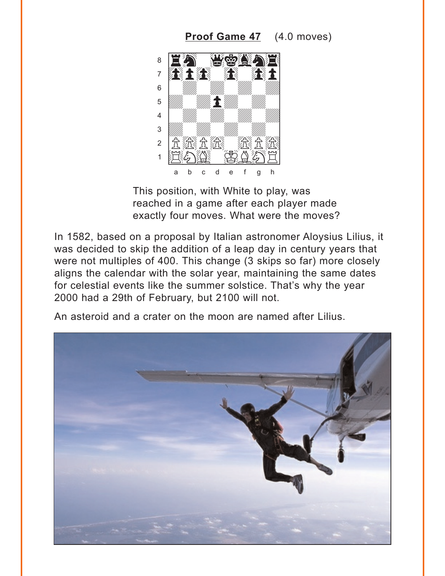<span id="page-3-0"></span>Proof Game 47 (4.0 moves)



This position, with White to play, was reached in a game after each player made exactly four moves. What were the moves?

In 1582, based on a proposal by Italian astronomer Aloysius Lilius, it was decided to skip the addition of a leap day in century years that were not multiples of 400. This change (3 skips so far) more closely aligns the calendar with the solar year, maintaining the same dates for celestial events like the summer solstice. That's why the year 2000 had a 29th of February, but 2100 will not.

An asteroid and a crater on the moon are named after Lilius.

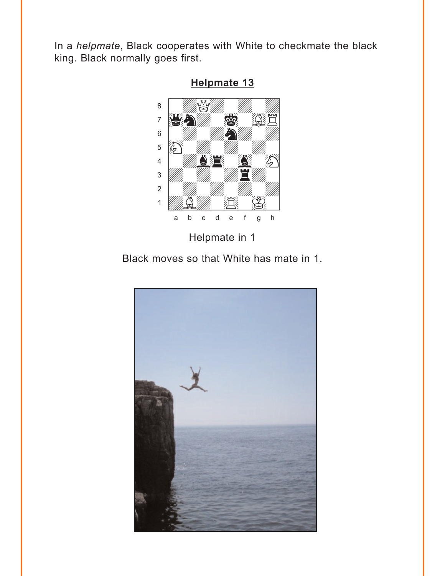<span id="page-4-0"></span>In a helpmate, Black cooperates with White to checkmate the black king. Black normally goes first.



Helpmate 13

Black moves so that White has mate in 1.

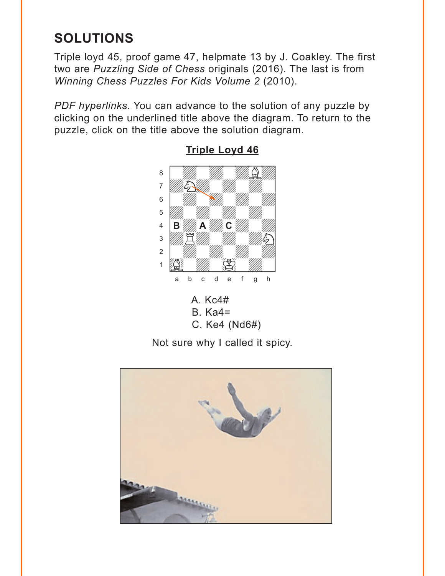# <span id="page-5-0"></span>**SOLUTIONS**

Triple loyd 45, proof game 47, helpmate 13 by J. Coakley. The first two are *Puzzling Side of Chess* originals (2016). The last is from *Winning Chess Puzzles For Kids Volume 2* (2010).

*PDF hyperlinks*. You can advance to the solution of any puzzle by clicking on the underlined title above the diagram. To return to the puzzle, click on the title above the solution diagram.



### **[Triple Loyd 46](#page-1-0)**

C. Ke4 (Nd6#)

Not sure why I called it spicy.

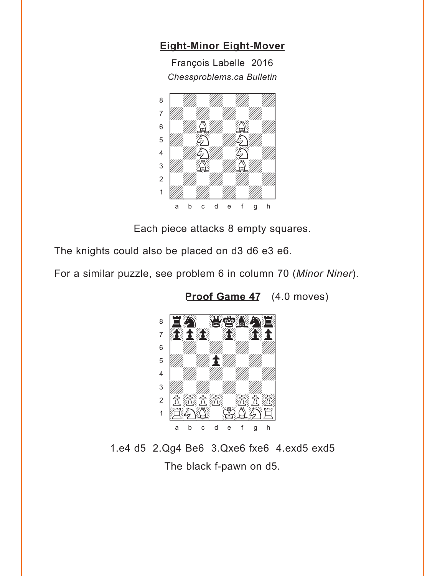### <span id="page-6-0"></span>**[Eight-Minor Eight-Mover](#page-2-0)**

François Labelle 2016 *Chessproblems.ca Bulletin*



Each piece attacks 8 empty squares.

The knights could also be placed on d3 d6 e3 e6.

For a similar puzzle, see problem 6 in column 70 (*Minor Niner*).



**[Proof Game 4](#page-3-0)7** (4.0 moves)

1.e4 d5 2.Qg4 Be6 3.Qxe6 fxe6 4.exd5 exd5 The black f-pawn on d5.